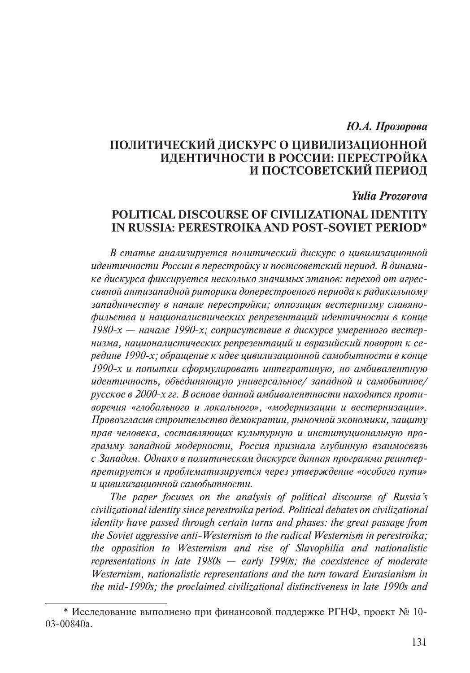# *Ю.А. Прозорова*

# **ПОЛИТИЧЕСКИЙ ДИСКУРС О ЦИВИЛИЗАЦИОННОЙ ИДЕНТИЧНОСТИ В РОССИИ: ПЕРЕСТРОЙКА И ПОСТСОВЕТСКИЙ ПЕРИОД**

### *Yulia Prozorova*

# **POLITICAL DISCOURSE OF CIVILIZATIONAL IDENTITY IN RUSSIA: PERESTROIKA AND POST-SOVIET PERIOD\***

*В статье анализируется политический дискурс о цивилизационной идентичности России в перестройку и постсоветский период. В динамике дискурса фиксируется несколько значимых этапов: переход от агрессивной антизападной риторики доперестроеного периода к радикаль ному западничеству в начале перестройки; оппозиция вестернизму славянофильства и националистических репрезентаций идентичности в конце 1980-х — начале 1990-х; соприсутствие в дискурсе умеренного вестернизма, националистических репрезентаций и евразийский поворот к середине 1990-х; обращение к идее цивилизационной самобытности в конце 1990-х и попытки сформулировать интегратиную, но амбивалентную идентичность, объединяющую универсальное/ западной и самобытное/ русское в 2000-х гг. В основе данной амбивалентности находятся противоречия «глобального и локального», «модернизации и вестернизации». Провозгласив строительство демократии, рыночной экономики, защиту прав человека, составляющих культурную и институциональную программу западной модерности, Россия признала глубинную взаимосвязь с Западом. Однако в политическом дискурсе данная программа реинтерпретируется и проблематизируется через утверждение «особого пути» и цивилизационной самобытности.*

*The paper focuses on the analysis of political discourse of Russia's civilizational identity since perestroika period. Political debates on civilizational identity have passed through certain turns and phases: the great passage from the Soviet aggressive anti-Westernism to the radical Westernism in perestroika; the opposition to Westernism and rise of Slavophilia and nationalistic representations in late 1980s — early 1990s; the coexistence of moderate Westernism, nationalistic representations and the turn toward Eurasianism in the mid-1990s; the proclaimed civilizational distinctiveness in late 1990s and* 

<sup>\*</sup> Исследование выполнено при финансовой поддержке РГНФ, проект № 10- 03-00840а.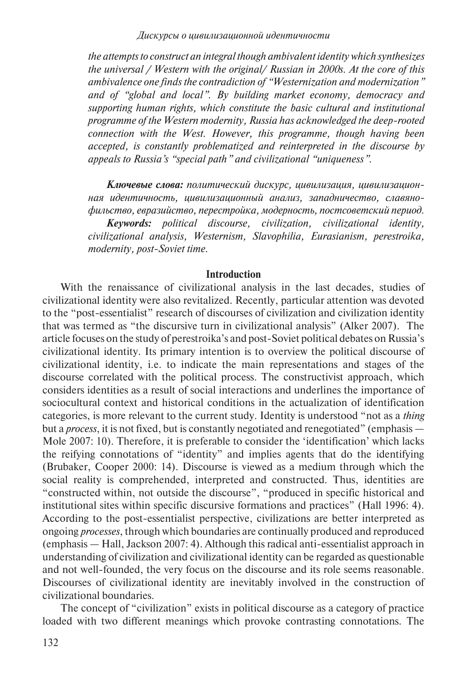*the attempts to construct an integral though ambivalent identity which synthesizes the universal / Western with the original/ Russian in 2000s. At the core of this ambivalence one finds the contradiction of "Westernization and modernization" and of "global and local". By building market economy, democracy and supporting human rights, which constitute the basic cultural and institutional programme of the Western modernity, Russia has acknowledged the deep-rooted connection with the West. However, this programme, though having been accepted, is constantly problematized and reinterpreted in the discourse by appeals to Russia's "special path" and civilizational "uniqueness".*

*Ключевые слова: политический дискурс, цивилизация, цивилизационная идентичность, цивилизационный анализ, западничество, славянофильство, евразийство, перестройка, модерность, постсоветский период. Keywords: political discourse, civilization, civilizational identity, civilizational analysis, Westernism, Slavophilia, Eurasianism, perestroika, modernity, post-Soviet time.*

## **Introduction**

With the renaissance of civilizational analysis in the last decades, studies of civilizational identity were also revitalized. Recently, particular attention was devoted to the "post-essentialist" research of discourses of civilization and civilization identity that was termed as "the discursive turn in civilizational analysis" (Alker 2007). The article focuses on the study of perestroika's and post-Soviet political debates on Russia's civilizational identity. Its primary intention is to overview the political discourse of civilizational identity, i.e. to indicate the main representations and stages of the discourse correlated with the political process. The constructivist approach, which considers identities as a result of social interactions and underlines the importance of sociocultural context and historical conditions in the actualization of identification categories, is more relevant to the current study. Identity is understood "not as a *thing*  but a *process*, it is not fixed, but is constantly negotiated and renegotiated" (emphasis — Mole 2007: 10). Therefore, it is preferable to consider the 'identification' which lacks the reifying connotations of "identity" and implies agents that do the identifying (Brubaker, Cooper 2000: 14). Discourse is viewed as a medium through which the social reality is comprehended, interpreted and constructed. Thus, identities are "constructed within, not outside the discourse", "produced in specific historical and institutional sites within specific discursive formations and practices" (Hall 1996: 4). According to the post-essentialist perspective, civilizations are better interpreted as ongoing *processes*, through which boundaries are continually produced and reproduced (emphasis — Hall, Jackson 2007: 4). Although this radical anti-essentialist approach in understanding of civilization and civilizational identity can be regarded as questionable and not well-founded, the very focus on the discourse and its role seems reasonable. Discourses of civilizational identity are inevitably involved in the construction of civilizational boundaries.

The concept of "civilization" exists in political discourse as a category of practice loaded with two different meanings which provoke contrasting connotations. The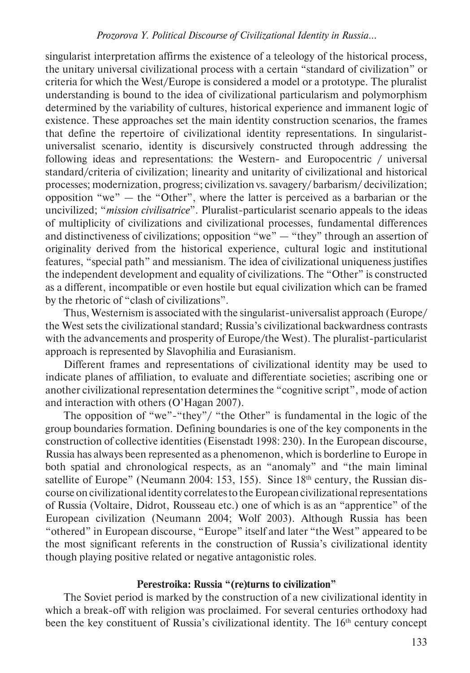singularist interpretation affirms the existence of a teleology of the historical process, the unitary universal civilizational process with a certain "standard of civilization" or criteria for which the West/Europe is considered a model or a prototype. The pluralist understanding is bound to the idea of civilizational particularism and polymorphism determined by the variability of cultures, historical experience and immanent logic of existence. These approaches set the main identity construction scenarios, the frames that define the repertoire of civilizational identity representations. In singularistuniversalist scenario, identity is discursively constructed through addressing the following ideas and representations: the Western- and Europocentric / universal standard/criteria of civilization; linearity and unitarity of civilizational and historical processes; modernization, progress; civilization vs. savagery/ barbarism/ decivilization; opposition "we" — the "Other", where the latter is perceived as a barbarian or the uncivilized; "*mission civilisatrice*". Pluralist-particularist scenario appeals to the ideas of multiplicity of civilizations and civilizational processes, fundamental differences and distinctiveness of civilizations; opposition "we" — "they" through an assertion of originality derived from the historical experience, cultural logic and institutional features, "special path" and messianism. The idea of civilizational uniqueness justifies the independent development and equality of civilizations. The "Other" is constructed as a different, incompatible or even hostile but equal civilization which can be framed by the rhetoric of "clash of civilizations".

Thus, Westernism is associated with the singularist-universalist approach (Europe/ the West sets the civilizational standard; Russia's civilizational backwardness contrasts with the advancements and prosperity of Europe/the West). The pluralist-particularist approach is represented by Slavophilia and Eurasianism.

Different frames and representations of civilizational identity may be used to indicate planes of affiliation, to evaluate and differentiate societies; ascribing one or another civilizational representation determines the "cognitive script", mode of action and interaction with others (O'Hagan 2007).

The opposition of "we"-"they"/ "the Other" is fundamental in the logic of the group boundaries formation. Defining boundaries is one of the key components in the construction of collective identities (Eisenstadt 1998: 230). In the European discourse, Russia has always been represented as a phenomenon, which is borderline to Europe in both spatial and chronological respects, as an "anomaly" and "the main liminal satellite of Europe" (Neumann 2004: 153, 155). Since 18<sup>th</sup> century, the Russian discourse on civilizational identity correlates to the European civilizational representations of Russia (Voltaire, Didrot, Rousseau etc.) one of which is as an "apprentice" of the European civilization (Neumann 2004; Wolf 2003). Although Russia has been "othered" in European discourse, "Europe" itself and later "the West" appeared to be the most significant referents in the construction of Russia's civilizational identity though playing positive related or negative antagonistic roles.

# **Perestroika: Russia "(re)turns to civilization"**

The Soviet period is marked by the construction of a new civilizational identity in which a break-off with religion was proclaimed. For several centuries orthodoxy had been the key constituent of Russia's civilizational identity. The 16<sup>th</sup> century concept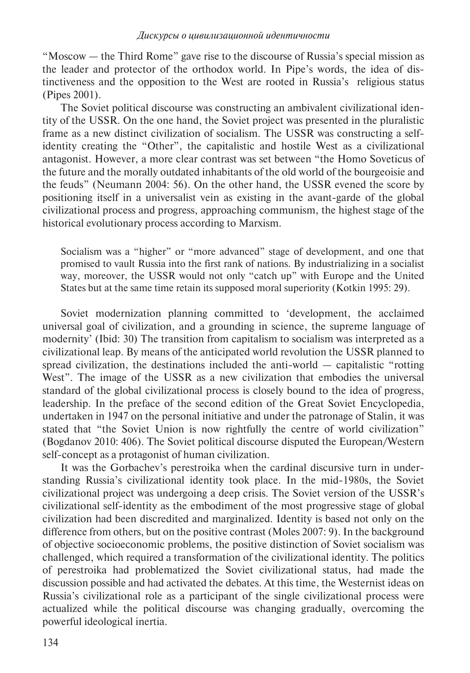"Moscow — the Third Rome" gave rise to the discourse of Russia's special mission as the leader and protector of the orthodox world. In Pipe's words, the idea of distinctiveness and the opposition to the West are rooted in Russia's religious status (Pipes 2001).

The Soviet political discourse was constructing an ambivalent civilizational identity of the USSR. On the one hand, the Soviet project was presented in the pluralistic frame as a new distinct civilization of socialism. The USSR was constructing a selfidentity creating the "Other", the capitalistic and hostile West as a civilizational antagonist. However, a more clear contrast was set between "the Homo Soveticus of the future and the morally outdated inhabitants of the old world of the bourgeoisie and the feuds" (Neumann 2004: 56). On the other hand, the USSR evened the score by positioning itself in a universalist vein as existing in the avant-garde of the global civilizational process and progress, approaching communism, the highest stage of the historical evolutionary process according to Marxism.

Socialism was a "higher" or "more advanced" stage of development, and one that promised to vault Russia into the first rank of nations. By industrializing in a socialist way, moreover, the USSR would not only "catch up" with Europe and the United States but at the same time retain its supposed moral superiority (Kotkin 1995: 29).

Soviet modernization planning committed to 'development, the acclaimed universal goal of civilization, and a grounding in science, the supreme language of modernity' (Ibid: 30) The transition from capitalism to socialism was interpreted as a civilizational leap. By means of the anticipated world revolution the USSR planned to spread civilization, the destinations included the anti-world — capitalistic "rotting West". The image of the USSR as a new civilization that embodies the universal standard of the global civilizational process is closely bound to the idea of progress, leadership. In the preface of the second edition of the Great Soviet Encyclopedia, undertaken in 1947 on the personal initiative and under the patronage of Stalin, it was stated that "the Soviet Union is now rightfully the centre of world civilization" (Bogdanov 2010: 406). The Soviet political discourse disputed the European/Western self-concept as a protagonist of human civilization.

It was the Gorbachev's perestroika when the cardinal discursive turn in understanding Russia's civilizational identity took place. In the mid-1980s, the Soviet civilizational project was undergoing a deep crisis. The Soviet version of the USSR's civilizational self-identity as the embodiment of the most progressive stage of global civilization had been discredited and marginalized. Identity is based not only on the difference from others, but on the positive contrast (Moles 2007: 9). In the background of objective socioeconomic problems, the positive distinction of Soviet socialism was challenged, which required a transformation of the civilizational identity. The politics of perestroika had problematized the Soviet civilizational status, had made the discussion possible and had activated the debates. At this time, the Westernist ideas on Russia's civilizational role as a participant of the single civilizational process were actualized while the political discourse was changing gradually, overcoming the powerful ideological inertia.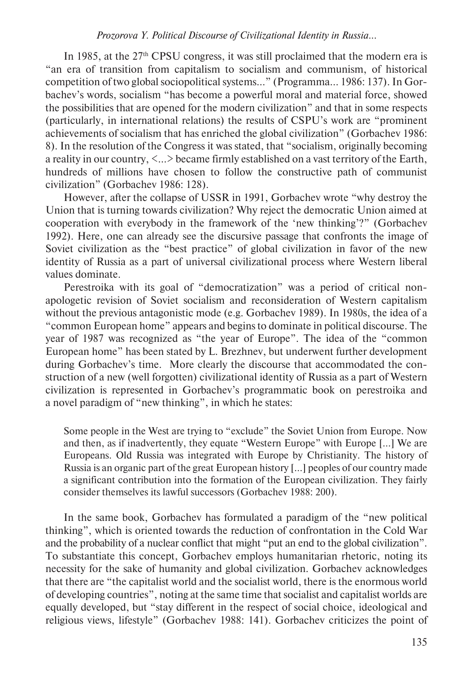In 1985, at the 27<sup>th</sup> CPSU congress, it was still proclaimed that the modern era is "an era of transition from capitalism to socialism and communism, of historical competition of two global sociopolitical systems…" (Programma… 1986: 137). In Gorbachev's words, socialism "has become a powerful moral and material force, showed the possibilities that are opened for the modern civilization" and that in some respects (particularly, in international relations) the results of CSPU's work are "prominent achievements of socialism that has enriched the global civilization" (Gorbachev 1986: 8). In the resolution of the Congress it was stated, that "socialism, originally becoming a reality in our country, <…> became firmly established on a vast territory of the Earth, hundreds of millions have chosen to follow the constructive path of communist civilization" (Gorbachev 1986: 128).

However, after the collapse of USSR in 1991, Gorbachev wrote "why destroy the Union that is turning towards civilization? Why reject the democratic Union aimed at cooperation with everybody in the framework of the 'new thinking'?" (Gorbachev 1992). Here, one can already see the discursive passage that confronts the image of Soviet civilization as the "best practice" of global civilization in favor of the new identity of Russia as a part of universal civilizational process where Western liberal values dominate.

Perestroika with its goal of "democratization" was a period of critical nonapologetic revision of Soviet socialism and reconsideration of Western capitalism without the previous antagonistic mode (e.g. Gorbachev 1989). In 1980s, the idea of a "common European home" appears and begins to dominate in political discourse. The year of 1987 was recognized as "the year of Europe". The idea of the "common European home" has been stated by L. Brezhnev, but underwent further development during Gorbachev's time. More clearly the discourse that accommodated the construction of a new (well forgotten) civilizational identity of Russia as a part of Western civilization is represented in Gorbachev's programmatic book on perestroika and a novel paradigm of "new thinking", in which he states:

Some people in the West are trying to "exclude" the Soviet Union from Europe. Now and then, as if inadvertently, they equate "Western Europe" with Europe […] We are Europeans. Old Russia was integrated with Europe by Christianity. The history of Russia is an organic part of the great European history […] peoples of our country made a significant contribution into the formation of the European civilization. They fairly consider themselves its lawful successors (Gorbachev 1988: 200).

In the same book, Gorbachev has formulated a paradigm of the "new political thinking", which is oriented towards the reduction of confrontation in the Cold War and the probability of a nuclear conflict that might "put an end to the global civilization". To substantiate this concept, Gorbachev employs humanitarian rhetoric, noting its necessity for the sake of humanity and global civilization. Gorbachev acknowledges that there are "the capitalist world and the socialist world, there is the enormous world of developing countries", noting at the same time that socialist and capitalist worlds are equally developed, but "stay different in the respect of social choice, ideological and religious views, lifestyle" (Gorbachev 1988: 141). Gorbachev criticizes the point of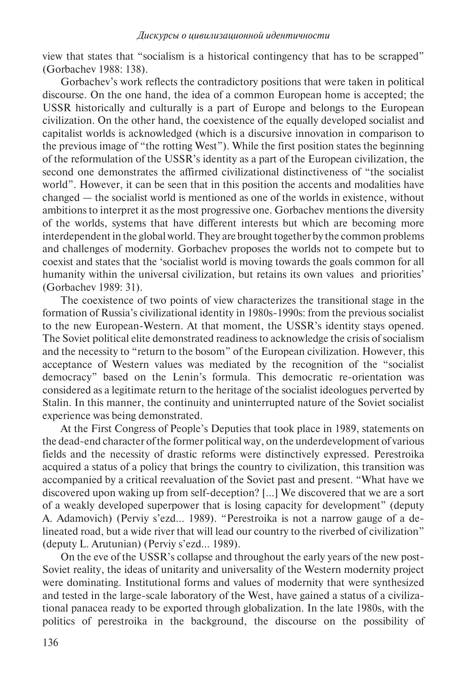view that states that "socialism is a historical contingency that has to be scrapped" (Gorbachev 1988: 138).

Gorbachev's work reflects the contradictory positions that were taken in political discourse. On the one hand, the idea of a common European home is accepted; the USSR historically and culturally is a part of Europe and belongs to the European civilization. On the other hand, the coexistence of the equally developed socialist and capitalist worlds is acknowledged (which is a discursive innovation in comparison to the previous image of "the rotting West"). While the first position states the beginning of the reformulation of the USSR's identity as a part of the European civilization, the second one demonstrates the affirmed civilizational distinctiveness of "the socialist world". However, it can be seen that in this position the accents and modalities have changed — the socialist world is mentioned as one of the worlds in existence, without ambitions to interpret it as the most progressive one. Gorbachev mentions the diversity of the worlds, systems that have different interests but which are becoming more interdependent in the global world. They are brought together by the common problems and challenges of modernity. Gorbachev proposes the worlds not to compete but to coexist and states that the 'socialist world is moving towards the goals common for all humanity within the universal civilization, but retains its own values and priorities' (Gorbachev 1989: 31).

The coexistence of two points of view characterizes the transitional stage in the formation of Russia's civilizational identity in 1980s-1990s: from the previous socialist to the new European-Western. At that moment, the USSR's identity stays opened. The Soviet political elite demonstrated readiness to acknowledge the crisis of socialism and the necessity to "return to the bosom" of the European civilization. However, this acceptance of Western values was mediated by the recognition of the "socialist democracy" based on the Lenin's formula. This democratic re-orientation was considered as a legitimate return to the heritage of the socialist ideologues perverted by Stalin. In this manner, the continuity and uninterrupted nature of the Soviet socialist experience was being demonstrated.

At the First Congress of People's Deputies that took place in 1989, statements on the dead-end character of the former political way, on the underdevelopment of various fields and the necessity of drastic reforms were distinctively expressed. Perestroika acquired a status of a policy that brings the country to civilization, this transition was accompanied by a critical reevaluation of the Soviet past and present. "What have we discovered upon waking up from self-deception? […] We discovered that we are a sort of a weakly developed superpower that is losing capacity for development" (deputy A. Adamovich) (Perviy s'ezd… 1989). "Perestroika is not a narrow gauge of a delineated road, but a wide river that will lead our country to the riverbed of civilization" (deputy L. Arutunian) (Perviy s'ezd… 1989).

On the eve of the USSR's collapse and throughout the early years of the new post-Soviet reality, the ideas of unitarity and universality of the Western modernity project were dominating. Institutional forms and values of modernity that were synthesized and tested in the large-scale laboratory of the West, have gained a status of a civilizational panacea ready to be exported through globalization. In the late 1980s, with the politics of perestroika in the background, the discourse on the possibility of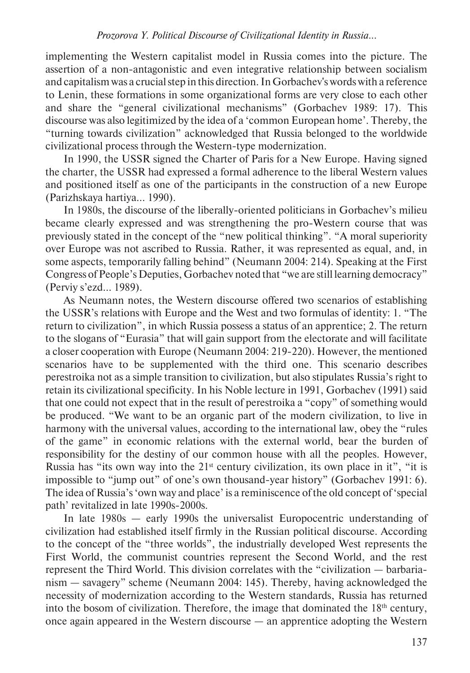implementing the Western capitalist model in Russia comes into the picture. The assertion of a non-antagonistic and even integrative relationship between socialism and capitalism was a crucial step in this direction. In Gorbachev's words with a reference to Lenin, these formations in some organizational forms are very close to each other and share the "general civilizational mechanisms" (Gorbachev 1989: 17). This discourse was also legitimized by the idea of a 'common European home'. Thereby, the "turning towards civilization" acknowledged that Russia belonged to the worldwide civilizational process through the Western-type modernization.

In 1990, the USSR signed the Charter of Paris for a New Europe. Having signed the charter, the USSR had expressed a formal adherence to the liberal Western values and positioned itself as one of the participants in the construction of a new Europe (Parizhskaya hartiya... 1990).

In 1980s, the discourse of the liberally-oriented politicians in Gorbachev's milieu became clearly expressed and was strengthening the pro-Western course that was previously stated in the concept of the "new political thinking". "A moral superiority over Europe was not ascribed to Russia. Rather, it was represented as equal, and, in some aspects, temporarily falling behind" (Neumann 2004: 214). Speaking at the First Congress of People's Deputies, Gorbachev noted that "we are still learning democracy" (Perviy s'ezd… 1989).

As Neumann notes, the Western discourse offered two scenarios of establishing the USSR's relations with Europe and the West and two formulas of identity: 1. "The return to civilization", in which Russia possess a status of an apprentice; 2. The return to the slogans of "Eurasia" that will gain support from the electorate and will facilitate a closer cooperation with Europe (Neumann 2004: 219-220). However, the mentioned scenarios have to be supplemented with the third one. This scenario describes perestroika not as a simple transition to civilization, but also stipulates Russia's right to retain its civilizational specificity. In his Noble lecture in 1991, Gorbachev (1991) said that one could not expect that in the result of perestroika a "copy" of something would be produced. "We want to be an organic part of the modern civilization, to live in harmony with the universal values, according to the international law, obey the "rules of the game" in economic relations with the external world, bear the burden of responsibility for the destiny of our common house with all the peoples. However, Russia has "its own way into the  $21<sup>st</sup>$  century civilization, its own place in it", "it is impossible to "jump out" of one's own thousand-year history" (Gorbachev 1991: 6). The idea of Russia's 'own way and place' is a reminiscence of the old concept of 'special path' revitalized in late 1990s-2000s.

In late 1980s — early 1990s the universalist Europocentric understanding of civilization had established itself firmly in the Russian political discourse. According to the concept of the "three worlds", the industrially developed West represents the First World, the communist countries represent the Second World, and the rest represent the Third World. This division correlates with the "civilization — barbarianism — savagery" scheme (Neumann 2004: 145). Thereby, having acknowledged the necessity of modernization according to the Western standards, Russia has returned into the bosom of civilization. Therefore, the image that dominated the 18<sup>th</sup> century, once again appeared in the Western discourse — an apprentice adopting the Western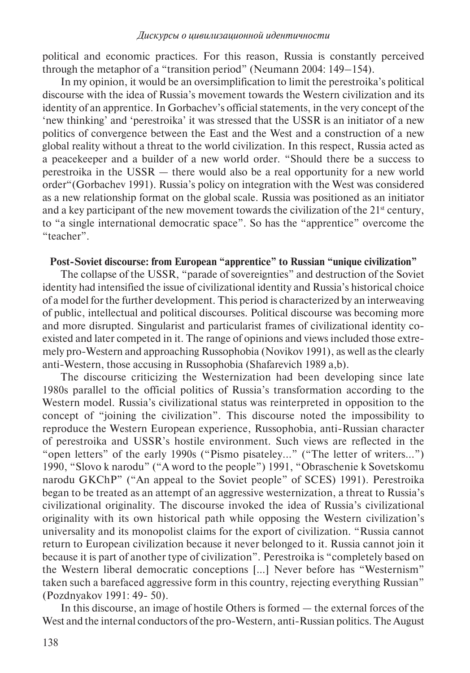political and economic practices. For this reason, Russia is constantly perceived through the metaphor of a "transition period" (Neumann 2004: 149–154).

In my opinion, it would be an oversimplification to limit the perestroika's political discourse with the idea of Russia's movement towards the Western civilization and its identity of an apprentice. In Gorbachev's official statements, in the very concept of the 'new thinking' and 'perestroika' it was stressed that the USSR is an initiator of a new politics of convergence between the East and the West and a construction of a new global reality without a threat to the world civilization. In this respect, Russia acted as a peacekeeper and a builder of a new world order. "Should there be a success to perestroika in the USSR — there would also be a real opportunity for a new world order"(Gorbachev 1991). Russia's policy on integration with the West was considered as a new relationship format on the global scale. Russia was positioned as an initiator and a key participant of the new movement towards the civilization of the  $21<sup>st</sup>$  century, to "a single international democratic space". So has the "apprentice" overcome the "teacher".

# **Post-Soviet discourse: from European "apprentice" to Russian "unique civilization"**

The collapse of the USSR, "parade of sovereignties" and destruction of the Soviet identity had intensified the issue of civilizational identity and Russia's historical choice of a model for the further development. This period is characterized by an interweaving of public, intellectual and political discourses. Political discourse was becoming more and more disrupted. Singularist and particularist frames of civilizational identity coexisted and later competed in it. The range of opinions and views included those extremely pro-Western and approaching Russophobia (Novikov 1991), as well as the clearly anti-Western, those accusing in Russophobia (Shafarevich 1989 a,b).

The discourse criticizing the Westernization had been developing since late 1980s parallel to the official politics of Russia's transformation according to the Western model. Russia's civilizational status was reinterpreted in opposition to the concept of "joining the civilization". This discourse noted the impossibility to reproduce the Western European experience, Russophobia, anti-Russian character of perestroika and USSR's hostile environment. Such views are reflected in the "open letters" of the early 1990s ("Pismo pisateley..." ("The letter of writers...") 1990, "Slovo k narodu" ("A word to the people") 1991, "Obraschenie k Sovetskomu narodu GKChP" ("An appeal to the Soviet people" of SCES) 1991). Perestroika began to be treated as an attempt of an aggressive westernization, a threat to Russia's civilizational originality. The discourse invoked the idea of Russia's civilizational originality with its own historical path while opposing the Western civilization's universality and its monopolist claims for the export of civilization. "Russia cannot return to European civilization because it never belonged to it. Russia cannot join it because it is part of another type of civilization". Perestroika is "completely based on the Western liberal democratic conceptions […] Never before has "Westernism" taken such a barefaced aggressive form in this country, rejecting everything Russian" (Pozdnyakov 1991: 49- 50).

In this discourse, an image of hostile Others is formed — the external forces of the West and the internal conductors of the pro-Western, anti-Russian politics. The August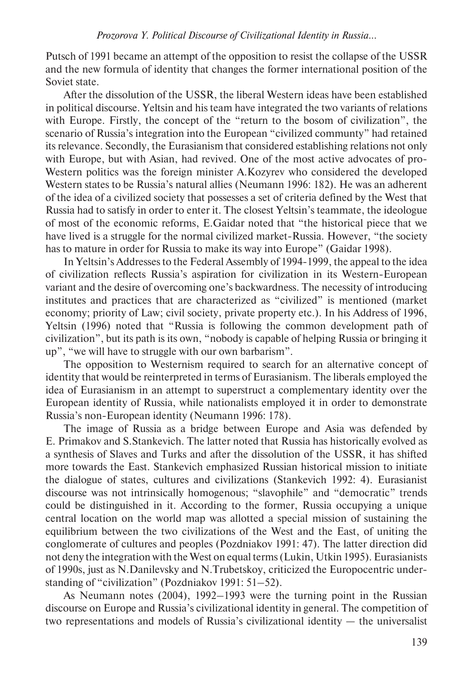Putsch of 1991 became an attempt of the opposition to resist the collapse of the USSR and the new formula of identity that changes the former international position of the Soviet state.

After the dissolution of the USSR, the liberal Western ideas have been established in political discourse. Yeltsin and his team have integrated the two variants of relations with Europe. Firstly, the concept of the "return to the bosom of civilization", the scenario of Russia's integration into the European "civilized communty" had retained its relevance. Secondly, the Eurasianism that considered establishing relations not only with Europe, but with Asian, had revived. One of the most active advocates of pro-Western politics was the foreign minister A.Kozyrev who considered the developed Western states to be Russia's natural allies (Neumann 1996: 182). He was an adherent of the idea of a civilized society that possesses a set of criteria defined by the West that Russia had to satisfy in order to enter it. The closest Yeltsin's teammate, the ideologue of most of the economic reforms, E.Gaidar noted that "the historical piece that we have lived is a struggle for the normal civilized market-Russia. However, "the society has to mature in order for Russia to make its way into Europe" (Gaidar 1998).

In Yeltsin's Addresses to the Federal Assembly of 1994-1999, the appeal to the idea of civilization reflects Russia's aspiration for civilization in its Western-European variant and the desire of overcoming one's backwardness. The necessity of introducing institutes and practices that are characterized as "civilized" is mentioned (market economy; priority of Law; civil society, private property etc.). In his Address of 1996, Yeltsin (1996) noted that "Russia is following the common development path of civilization", but its path is its own, "nobody is capable of helping Russia or bringing it up", "we will have to struggle with our own barbarism".

The opposition to Westernism required to search for an alternative concept of identity that would be reinterpreted in terms of Eurasianism. The liberals employed the idea of Eurasianism in an attempt to superstruct a complementary identity over the European identity of Russia, while nationalists employed it in order to demonstrate Russia's non-European identity (Neumann 1996: 178).

The image of Russia as a bridge between Europe and Asia was defended by E. Primakov and S.Stankevich. The latter noted that Russia has historically evolved as a synthesis of Slaves and Turks and after the dissolution of the USSR, it has shifted more towards the East. Stankevich emphasized Russian historical mission to initiate the dialogue of states, cultures and civilizations (Stankevich 1992: 4). Eurasianist discourse was not intrinsically homogenous; "slavophile" and "democratic" trends could be distinguished in it. According to the former, Russia occupying a unique central location on the world map was allotted a special mission of sustaining the equilibrium between the two civilizations of the West and the East, of uniting the conglomerate of cultures and peoples (Pozdniakov 1991: 47). The latter direction did not deny the integration with the West on equal terms (Lukin, Utkin 1995). Eurasianists of 1990s, just as N.Danilevsky and N.Trubetskoy, criticized the Europocentric understanding of "civilization" (Pozdniakov 1991: 51–52).

As Neumann notes (2004), 1992–1993 were the turning point in the Russian discourse on Europe and Russia's civilizational identity in general. The competition of two representations and models of Russia's civilizational identity — the universalist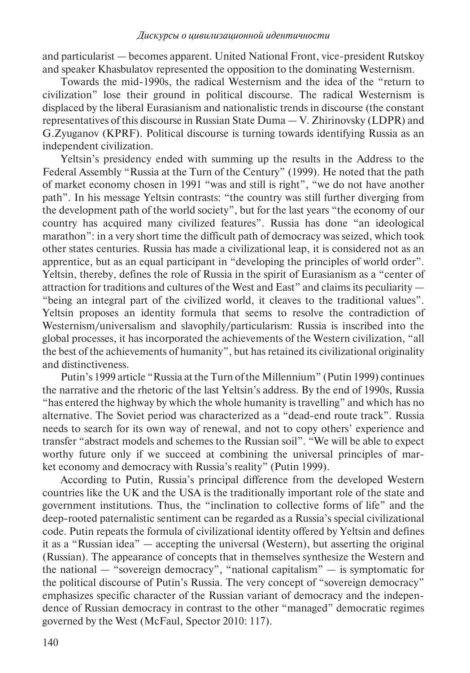and particularist — becomes apparent. United National Front, vice-president Rutskoy and speaker Khasbulatov represented the opposition to the dominating Westernism.

Towards the mid-1990s, the radical Westernism and the idea of the "return to civilization" lose their ground in political discourse. The radical Westernism is displaced by the liberal Eurasianism and nationalistic trends in discourse (the constant representatives of this discourse in Russian State Duma — V. Zhirinovsky (LDPR) and G.Zyuganov (KPRF). Political discourse is turning towards identifying Russia as an independent civilization.

Yeltsin's presidency ended with summing up the results in the Address to the Federal Assembly "Russia at the Turn of the Century" (1999). He noted that the path of market economy chosen in 1991 "was and still is right", "we do not have another path". In his message Yeltsin contrasts: "the country was still further diverging from the development path of the world society", but for the last years "the economy of our country has acquired many civilized features". Russia has done "an ideological marathon": in a very short time the difficult path of democracy was seized, which took other states centuries. Russia has made a civilizational leap, it is considered not as an apprentice, but as an equal participant in "developing the principles of world order". Yeltsin, thereby, defines the role of Russia in the spirit of Eurasianism as a "center of attraction for traditions and cultures of the West and East" and claims its peculiarity — "being an integral part of the civilized world, it cleaves to the traditional values". Yeltsin proposes an identity formula that seems to resolve the contradiction of Westernism/universalism and slavophily/particularism: Russia is inscribed into the global processes, it has incorporated the achievements of the Western civilization, "all the best of the achievements of humanity", but has retained its civilizational originality and distinctiveness.

Putin's 1999 article "Russia at the Turn of the Millennium" (Putin 1999) continues the narrative and the rhetoric of the last Yeltsin's address. By the end of 1990s, Russia "has entered the highway by which the whole humanity is travelling" and which has no alternative. The Soviet period was characterized as a "dead-end route track". Russia needs to search for its own way of renewal, and not to copy others' experience and transfer "abstract models and schemes to the Russian soil". "We will be able to expect worthy future only if we succeed at combining the universal principles of market economy and democracy with Russia's reality" (Putin 1999).

According to Putin, Russia's principal difference from the developed Western countries like the UK and the USA is the traditionally important role of the state and government institutions. Thus, the "inclination to collective forms of life" and the deep-rooted paternalistic sentiment can be regarded as a Russia's special civilizational code. Putin repeats the formula of civilizational identity offered by Yeltsin and defines it as a "Russian idea" — accepting the universal (Western), but asserting the original (Russian). The appearance of concepts that in themselves synthesize the Western and the national — "sovereign democracy", "national capitalism" — is symptomatic for the political discourse of Putin's Russia. The very concept of "sovereign democracy" emphasizes specific character of the Russian variant of democracy and the independence of Russian democracy in contrast to the other "managed" democratic regimes governed by the West (McFaul, Spector 2010: 117).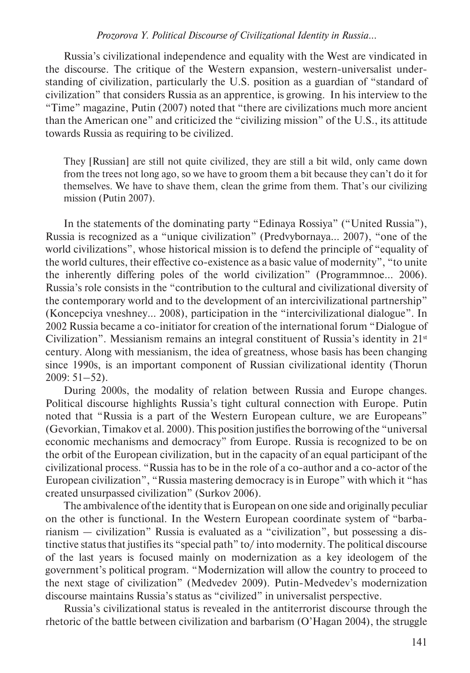#### *Prozorova Y. Political Discourse of Civilizational Identity in Russia...*

Russia's civilizational independence and equality with the West are vindicated in the discourse. The critique of the Western expansion, western-universalist understanding of civilization, particularly the U.S. position as a guardian of "standard of civilization" that considers Russia as an apprentice, is growing. In his interview to the "Time" magazine, Putin (2007) noted that "there are civilizations much more ancient than the American one" and criticized the "civilizing mission" of the U.S., its attitude towards Russia as requiring to be civilized.

They [Russian] are still not quite civilized, they are still a bit wild, only came down from the trees not long ago, so we have to groom them a bit because they can't do it for themselves. We have to shave them, clean the grime from them. That's our civilizing mission (Putin 2007).

In the statements of the dominating party "Edinaya Rossiya" ("United Russia"), Russia is recognized as a "unique civilization" (Predvybornaya… 2007), "one of the world civilizations", whose historical mission is to defend the principle of "equality of the world cultures, their effective co-existence as a basic value of modernity", "to unite the inherently differing poles of the world civilization" (Programmnoe… 2006). Russia's role consists in the "contribution to the cultural and civilizational diversity of the contemporary world and to the development of an intercivilizational partnership" (Koncepciya vneshney… 2008), participation in the "intercivilizational dialogue". In 2002 Russia became a co-initiator for creation of the international forum "Dialogue of Civilization". Messianism remains an integral constituent of Russia's identity in 21st century. Along with messianism, the idea of greatness, whose basis has been changing since 1990s, is an important component of Russian civilizational identity (Thorun 2009: 51–52).

During 2000s, the modality of relation between Russia and Europe changes. Political discourse highlights Russia's tight cultural connection with Europe. Putin noted that "Russia is a part of the Western European culture, we are Europeans" (Gevorkian, Timakov et al. 2000). This position justifies the borrowing of the "universal economic mechanisms and democracy" from Europe. Russia is recognized to be on the orbit of the European civilization, but in the capacity of an equal participant of the civilizational process. "Russia has to be in the role of a co-author and a co-actor of the European civilization", "Russia mastering democracy is in Europe" with which it "has created unsurpassed civilization" (Surkov 2006).

The ambivalence of the identity that is European on one side and originally peculiar on the other is functional. In the Western European coordinate system of "barbarianism — civilization" Russia is evaluated as a "civilization", but possessing a distinctive status that justifies its "special path" to/ into modernity. The political discourse of the last years is focused mainly on modernization as a key ideologem of the government's political program. "Modernization will allow the country to proceed to the next stage of civilization" (Medvedev 2009). Putin-Medvedev's modernization discourse maintains Russia's status as "civilized" in universalist perspective.

Russia's civilizational status is revealed in the antiterrorist discourse through the rhetoric of the battle between civilization and barbarism (O'Hagan 2004), the struggle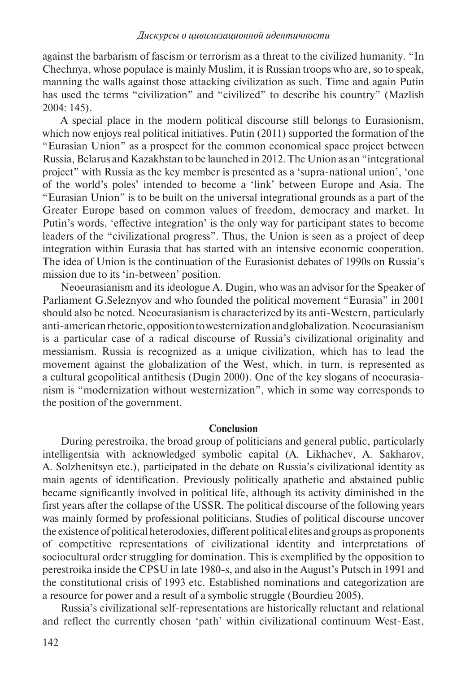against the barbarism of fascism or terrorism as a threat to the civilized humanity. "In Chechnya, whose populace is mainly Muslim, it is Russian troops who are, so to speak, manning the walls against those attacking civilization as such. Time and again Putin has used the terms "civilization" and "civilized" to describe his country" (Mazlish 2004: 145).

A special place in the modern political discourse still belongs to Eurasionism, which now enjoys real political initiatives. Putin (2011) supported the formation of the "Eurasian Union" as a prospect for the common economical space project between Russia, Belarus and Kazakhstan to be launched in 2012. The Union as an "integrational project" with Russia as the key member is presented as a 'supra-national union', 'one of the world's poles' intended to become a 'link' between Europe and Asia. The "Eurasian Union" is to be built on the universal integrational grounds as a part of the Greater Europe based on common values of freedom, democracy and market. In Putin's words, 'effective integration' is the only way for participant states to become leaders of the "civilizational progress". Thus, the Union is seen as a project of deep integration within Eurasia that has started with an intensive economic cooperation. The idea of Union is the continuation of the Eurasionist debates of 1990s on Russia's mission due to its 'in-between' position.

Neoeurasianism and its ideologue A. Dugin, who was an advisor for the Speaker of Parliament G.Seleznyov and who founded the political movement "Eurasia" in 2001 should also be noted. Neoeurasianism is characterized by its anti-Western, particularly anti-american rhetoric, opposition to westernization and globalization. Neoeurasianism is a particular case of a radical discourse of Russia's civilizational originality and messianism. Russia is recognized as a unique civilization, which has to lead the movement against the globalization of the West, which, in turn, is represented as a cultural geopolitical antithesis (Dugin 2000). One of the key slogans of neoeurasianism is "modernization without westernization", which in some way corresponds to the position of the government.

### **Conclusion**

During perestroika, the broad group of politicians and general public, particularly intelligentsia with acknowledged symbolic capital (A. Likhachev, A. Sakharov, A. Solzhenitsyn etc.), participated in the debate on Russia's civilizational identity as main agents of identification. Previously politically apathetic and abstained public became significantly involved in political life, although its activity diminished in the first years after the collapse of the USSR. The political discourse of the following years was mainly formed by professional politicians. Studies of political discourse uncover the existence of political heterodoxies, different political elites and groups as proponents of competitive representations of civilizational identity and interpretations of sociocultural order struggling for domination. This is exemplified by the opposition to perestroika inside the CPSU in late 1980-s, and also in the August's Putsch in 1991 and the constitutional crisis of 1993 etc. Established nominations and categorization are a resource for power and a result of a symbolic struggle (Bourdieu 2005).

Russia's civilizational self-representations are historically reluctant and relational and reflect the currently chosen 'path' within civilizational continuum West-East,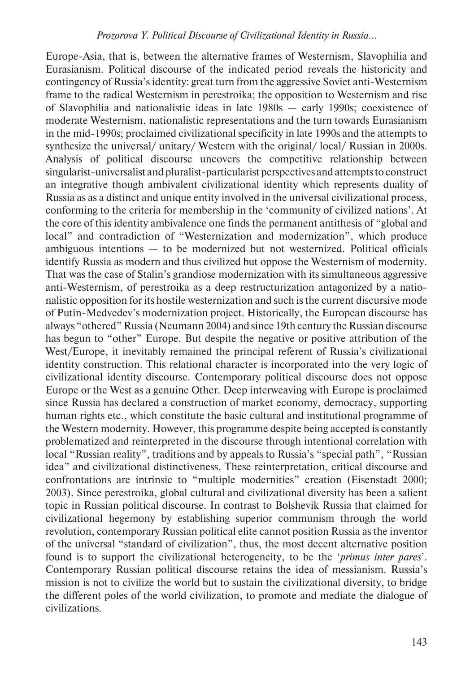Europe-Asia, that is, between the alternative frames of Westernism, Slavophilia and Eurasianism. Political discourse of the indicated period reveals the historicity and contingency of Russia's identity: great turn from the aggressive Soviet anti-Westernism frame to the radical Westernism in perestroika; the opposition to Westernism and rise of Slavophilia and nationalistic ideas in late 1980s — early 1990s; coexistence of moderate Westernism, nationalistic representations and the turn towards Eurasianism in the mid-1990s; proclaimed civilizational specificity in late 1990s and the attempts to synthesize the universal/ unitary/ Western with the original/ local/ Russian in 2000s. Analysis of political discourse uncovers the competitive relationship between singularist-universalist and pluralist-particularist perspectives and attempts to construct an integrative though ambivalent civilizational identity which represents duality of Russia as as a distinct and unique entity involved in the universal civilizational process, conforming to the criteria for membership in the 'community of civilized nations'. At the core of this identity ambivalence one finds the permanent antithesis of "global and local" and contradiction of "Westernization and modernization", which produce ambiguous intentions — to be modernized but not westernized. Political officials identify Russia as modern and thus civilized but oppose the Westernism of modernity. That was the case of Stalin's grandiose modernization with its simultaneous aggressive anti-Westernism, of perestroika as a deep restructurization antagonized by a nationalistic opposition for its hostile westernization and such is the current discursive mode of Putin-Medvedev's modernization project. Historically, the European discourse has always "othered" Russia (Neumann 2004) and since 19th century the Russian discourse has begun to "other" Europe. But despite the negative or positive attribution of the West/Europe, it inevitably remained the principal referent of Russia's civilizational identity construction. This relational character is incorporated into the very logic of civilizational identity discourse. Contemporary political discourse does not oppose Europe or the West as a genuine Other. Deep interweaving with Europe is proclaimed since Russia has declared a construction of market economy, democracy, supporting human rights etc., which constitute the basic cultural and institutional programme of the Western modernity. However, this programme despite being accepted is constantly prob lematized and reinterpreted in the discourse through intentional correlation with local "Russian reality", traditions and by appeals to Russia's "special path", "Russian idea" and civilizational distinctiveness. These reinterpretation, critical discourse and confrontations are intrinsic to "multiple modernities" creation (Eisenstadt 2000; 2003). Since perestroika, global cultural and civilizational diversity has been a salient topic in Russian political discourse. In contrast to Bolshevik Russia that claimed for civilizational hegemony by establishing superior communism through the world revolution, contemporary Russian political elite cannot position Russia as the inventor of the universal "standard of civilization", thus, the most decent alternative position found is to support the civilizational heterogeneity, to be the '*primus inter pares*'. Contemporary Russian political discourse retains the idea of messianism. Russia's mission is not to civilize the world but to sustain the civilizational diversity, to bridge the different poles of the world civilization, to promote and mediate the dialogue of civilizations.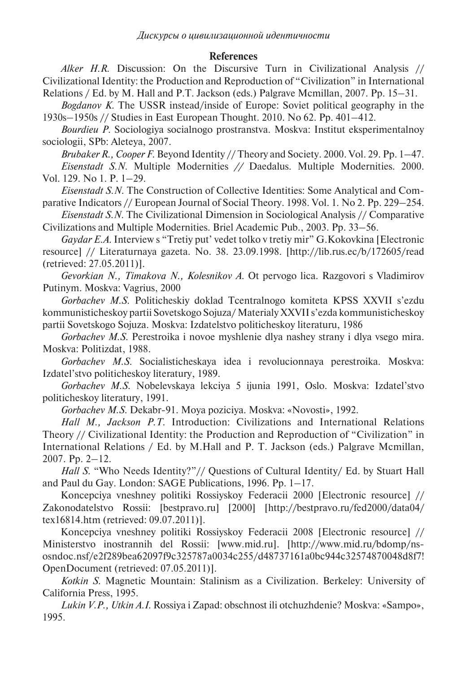## **References**

*Alker H.R.* Discussion: On the Discursive Turn in Civilizational Analysis // Civilizational Identity: the Production and Reproduction of "Civilization" in International Relations / Ed. by M. Hall and P.T. Jackson (eds.) Palgrave Mcmillan, 2007. Pp. 15–31.

*Bogdanov K.* The USSR instead/inside of Europe: Soviet political geography in the 1930s–1950s // Studies in East European Thought. 2010. No 62. Pp. 401–412.

*Bourdieu P.* Sociologiya socialnogo prostranstva. Moskva: Institut eksperimentalnoy sociologii, SPb: Aleteya, 2007.

*Brubaker R., Cooper F.* Beyond Identity // Theory and Society. 2000. Vol. 29. Pp. 1–47. *Eisenstadt S.N.* Multiple Modernities *//* Daedalus. Multiple Modernities. 2000. Vol. 129. No 1. P. 1–29.

*Eisenstadt S.N.* The Construction of Collective Identities: Some Analytical and Comparative Indicators // European Journal of Social Theory. 1998. Vol. 1. No 2. Pp. 229–254.

*Eisenstadt S.N.* The Civilizational Dimension in Sociological Analysis // Comparative Civilizations and Multiple Modernities. Briel Academic Pub., 2003. Pp. 33–56.

*Gaydar E.A.* Interview s "Tretiy put' vedet tolko v tretiy mir" G.Kokovkina [Electronic resource] // Literaturnaya gazeta. No. 38. 23.09.1998. [http://lib.rus.ec/b/172605/read (retrieved: 27.05.2011)].

*Gevorkian N., Timakova N., Kolesnikov A.* Ot pervogo lica. Razgovori s Vladimirov Putinym. Moskva: Vagrius, 2000

*Gorbachev M.S.* Politicheskiy doklad Tcentralnogo komiteta KPSS XXVII s'ezdu kommunisticheskoy partii Sovetskogo Sojuza/ Materialy XXVII s'ezda kommunisticheskoy partii Sovetskogo Sojuza. Moskva: Izdatelstvo politicheskoy literaturu, 1986

*Gorbachev M.S.* Perestroika i novoe myshlenie dlya nashey strany i dlya vsego mira. Moskva: Politizdat, 1988.

*Gorbachev M.S.* Socialisticheskaya idea i revolucionnaya perestroika. Moskva: Izdatel'stvo politicheskoy literatury, 1989.

*Gorbachev M.S.* Nobelevskaya lekciya 5 ijunia 1991, Oslo. Moskva: Izdatel'stvo politicheskoy literatury, 1991.

*Gorbachev M.S.* Dekabr-91. Moya poziciya. Moskva: «Novosti», 1992.

*Hall M., Jackson P.T.* Introduction: Civilizations and International Relations Theory // Civilizational Identity: the Production and Reproduction of "Civilization" in International Relations / Ed. by M.Hall and P. T. Jackson (eds.) Palgrave Mcmillan, 2007. Pp. 2–12.

*Hall S.* "Who Needs Identity?"// Questions of Cultural Identity/ Ed. by Stuart Hall and Paul du Gay. London: SAGE Publications, 1996. Pp. 1–17.

Koncepciya vneshney politiki Rossiyskoy Federacii 2000 [Electronic resource] // Zakonodatelstvo Rossii: [bestpravo.ru] [2000] [http://bestpravo.ru/fed2000/data04/ tex16814.htm (retrieved: 09.07.2011)].

Koncepciya vneshney politiki Rossiyskoy Federacii 2008 [Electronic resource] // Ministerstvo inostrannih del Rossii: [www.mid.ru]. [http://www.mid.ru/bdomp/nsosndoc.nsf/e2f289bea62097f9c325787a0034c255/d48737161a0bc944c32574870048d8f7! OpenDocument (retrieved: 07.05.2011)].

*Kotkin S.* Magnetic Mountain: Stalinism as a Civilization. Berkeley: University of California Press, 1995.

*Lukin V.P., Utkin A.I.* Rossiya i Zapad: obschnost ili otchuzhdenie? Moskva: «Sampo», 1995.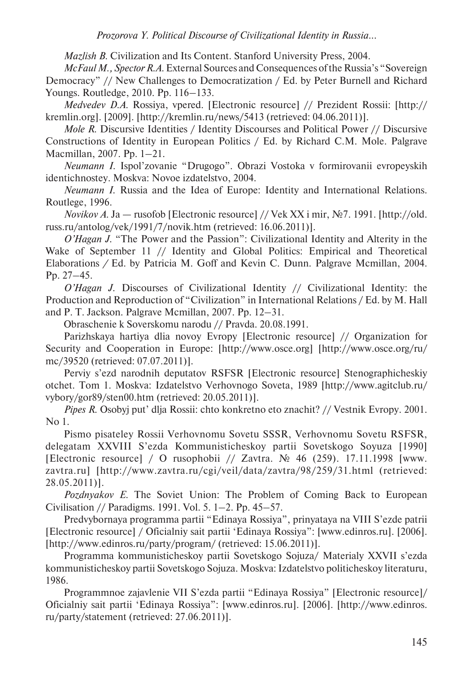*Mazlish B.* Civilization and Its Content. Stanford University Press, 2004.

*McFaul M., Spector R.A.* External Sources and Consequences of the Russia's "Sovereign Democracy" // New Challenges to Democratization / Ed. by Peter Burnell and Richard Youngs. Routledge, 2010. Pp. 116–133.

*Medvedev D.A.* Rossiya, vpered. [Electronic resource] // Prezident Rossii: [http:// kremlin.org]. [2009]. [http://kremlin.ru/news/5413 (retrieved: 04.06.2011)].

*Mole R.* Discursive Identities / Identity Discourses and Political Power // Discursive Constructions of Identity in European Politics / Ed. by Richard C.M. Mole. Palgrave Macmillan, 2007. Pp. 1–21.

*Neumann I.* Ispol'zovanie "Drugogo". Obrazi Vostoka v formirovanii evropeyskih identichnostey. Moskva: Novoe izdatelstvo, 2004.

*Neumann I.* Russia and the Idea of Europe: Identity and International Relations. Routlege, 1996.

*Novikov A.* Ja — rusofob [Electronic resource] // Vek XX i mir, №7. 1991. [http://old. russ.ru/antolog/vek/1991/7/novik.htm (retrieved: 16.06.2011)].

*O'Hagan J.* "The Power and the Passion": Civilizational Identity and Alterity in the Wake of September 11 // Identity and Global Politics: Empirical and Theoretical Elaborations */* Ed. by Patricia M. Goff and Kevin C. Dunn. Palgrave Mcmillan, 2004. Pp. 27–45.

*O'Hagan J.* Discourses of Civilizational Identity // Civilizational Identity: the Production and Reproduction of "Civilization" in International Relations / Ed. by M. Hall and P. T. Jackson. Palgrave Mcmillan, 2007. Pp. 12–31.

Obraschenie k Soverskomu narodu // Pravda. 20.08.1991.

Parizhskaya hartiya dlia novoy Evropy [Electronic resource] // Organization for Security and Cooperation in Europe: [http://www.osce.org] [http://www.osce.org/ru/ mc/39520 (retrieved: 07.07.2011)].

Perviy s'ezd narodnih deputatov RSFSR [Electronic resource] Stenographicheskiy otchet. Tom 1. Moskva: Izdatelstvo Verhovnogo Soveta, 1989 [http://www.agitclub.ru/ vybory/gor89/sten00.htm (retrieved: 20.05.2011)].

*Pipes R.* Osobyj put' dlja Rossii: chto konkretno eto znachit? // Vestnik Evropy. 2001. No 1.

Pismo pisateley Rossii Verhovnomu Sovetu SSSR, Verhovnomu Sovetu RSFSR, delegatam XXVIII S'ezda Kommunisticheskoy partii Sovetskogo Soyuza [1990] [Electronic resource] / O rusophobii // Zavtra. № 46 (259). 17.11.1998 [www. zavtra.ru] [http://www.zavtra.ru/cgi/veil/data/zavtra/98/259/31.html (retrieved: 28.05.2011)].

*Pozdnyakov E.* The Soviet Union: The Problem of Coming Back to European Civilisation // Paradigms. 1991. Vol. 5. 1–2. Pp. 45–57.

Predvybornaya programma partii "Edinaya Rossiya", prinyataya na VIII S'ezde patrii [Electronic resource] / Oficialniy sait partii 'Edinaya Rossiya": [www.edinros.ru]. [2006]. [http://www.edinros.ru/party/program/ (retrieved: 15.06.2011)].

Programma kommunisticheskoy partii Sovetskogo Sojuza/ Materialy XXVII s'ezda kommunisticheskoy partii Sovetskogo Sojuza. Moskva: Izdatelstvo politicheskoy literaturu, 1986.

Programmnoe zajavlenie VII S'ezda partii "Edinaya Rossiya" [Electronic resource]/ Oficialniy sait partii 'Edinaya Rossiya": [www.edinros.ru]. [2006]. [http://www.edinros. ru/party/statement (retrieved: 27.06.2011)].